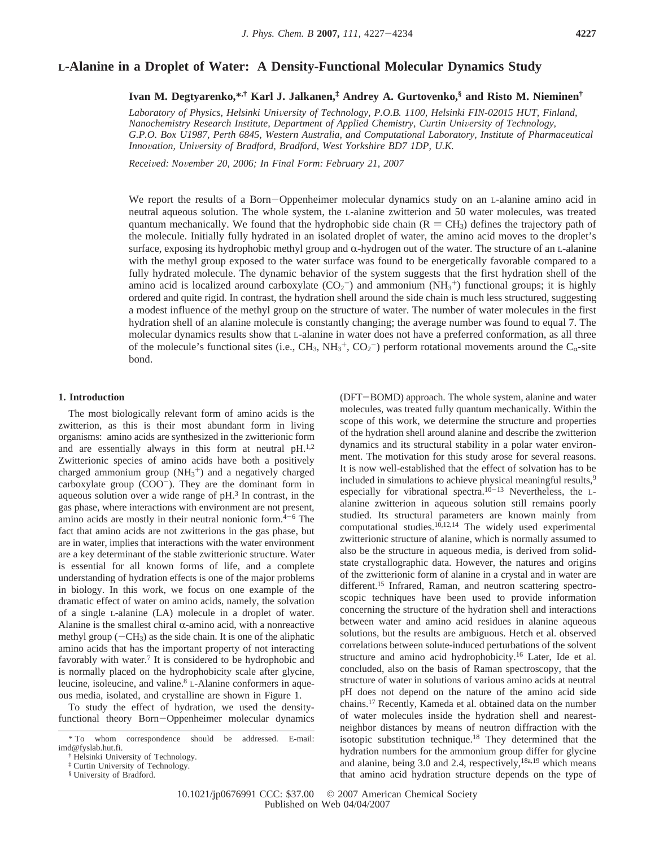# **L-Alanine in a Droplet of Water: A Density-Functional Molecular Dynamics Study**

**Ivan M. Degtyarenko,\*,† Karl J. Jalkanen,‡ Andrey A. Gurtovenko,§ and Risto M. Nieminen†**

*Laboratory of Physics, Helsinki Uni*V*ersity of Technology, P.O.B. 1100, Helsinki FIN-02015 HUT, Finland, Nanochemistry Research Institute, Department of Applied Chemistry, Curtin Uni*V*ersity of Technology, G.P.O. Box U1987, Perth 6845, Western Australia, and Computational Laboratory, Institute of Pharmaceutical Inno*V*ation, Uni*V*ersity of Bradford, Bradford, West Yorkshire BD7 1DP, U.K.*

*Recei*V*ed: No*V*ember 20, 2006; In Final Form: February 21, 2007*

We report the results of a Born-Oppenheimer molecular dynamics study on an L-alanine amino acid in neutral aqueous solution. The whole system, the L-alanine zwitterion and 50 water molecules, was treated quantum mechanically. We found that the hydrophobic side chain  $(R = CH<sub>3</sub>)$  defines the trajectory path of the molecule. Initially fully hydrated in an isolated droplet of water, the amino acid moves to the droplet's surface, exposing its hydrophobic methyl group and  $\alpha$ -hydrogen out of the water. The structure of an L-alanine with the methyl group exposed to the water surface was found to be energetically favorable compared to a fully hydrated molecule. The dynamic behavior of the system suggests that the first hydration shell of the amino acid is localized around carboxylate  $(CO_2^-)$  and ammonium  $(NH_3^+)$  functional groups; it is highly ordered and quite rigid. In contrast, the hydration shell around the side chain is much less structured, suggesting a modest influence of the methyl group on the structure of water. The number of water molecules in the first hydration shell of an alanine molecule is constantly changing; the average number was found to equal 7. The molecular dynamics results show that L-alanine in water does not have a preferred conformation, as all three of the molecule's functional sites (i.e.,  $CH_3$ ,  $NH_3^+$ ,  $CO_2^-$ ) perform rotational movements around the  $C_\alpha$ -site bond.

# **1. Introduction**

The most biologically relevant form of amino acids is the zwitterion, as this is their most abundant form in living organisms: amino acids are synthesized in the zwitterionic form and are essentially always in this form at neutral pH.<sup>1,2</sup> Zwitterionic species of amino acids have both a positively charged ammonium group  $(NH_3^+)$  and a negatively charged carboxylate group  $(COO^-)$ . They are the dominant form in aqueous solution over a wide range of pH.3 In contrast, in the gas phase, where interactions with environment are not present, amino acids are mostly in their neutral nonionic form. $4-6$  The fact that amino acids are not zwitterions in the gas phase, but are in water, implies that interactions with the water environment are a key determinant of the stable zwitterionic structure. Water is essential for all known forms of life, and a complete understanding of hydration effects is one of the major problems in biology. In this work, we focus on one example of the dramatic effect of water on amino acids, namely, the solvation of a single L-alanine (LA) molecule in a droplet of water. Alanine is the smallest chiral  $\alpha$ -amino acid, with a nonreactive methyl group  $(-CH_3)$  as the side chain. It is one of the aliphatic amino acids that has the important property of not interacting favorably with water.<sup>7</sup> It is considered to be hydrophobic and is normally placed on the hydrophobicity scale after glycine, leucine, isoleucine, and valine.8 L-Alanine conformers in aqueous media, isolated, and crystalline are shown in Figure 1.

To study the effect of hydration, we used the densityfunctional theory Born-Oppenheimer molecular dynamics

(DFT-BOMD) approach. The whole system, alanine and water molecules, was treated fully quantum mechanically. Within the scope of this work, we determine the structure and properties of the hydration shell around alanine and describe the zwitterion dynamics and its structural stability in a polar water environment. The motivation for this study arose for several reasons. It is now well-established that the effect of solvation has to be included in simulations to achieve physical meaningful results,<sup>9</sup> especially for vibrational spectra.<sup>10-13</sup> Nevertheless, the Lalanine zwitterion in aqueous solution still remains poorly studied. Its structural parameters are known mainly from computational studies. $10,12,14$  The widely used experimental zwitterionic structure of alanine, which is normally assumed to also be the structure in aqueous media, is derived from solidstate crystallographic data. However, the natures and origins of the zwitterionic form of alanine in a crystal and in water are different.<sup>15</sup> Infrared, Raman, and neutron scattering spectroscopic techniques have been used to provide information concerning the structure of the hydration shell and interactions between water and amino acid residues in alanine aqueous solutions, but the results are ambiguous. Hetch et al. observed correlations between solute-induced perturbations of the solvent structure and amino acid hydrophobicity.16 Later, Ide et al. concluded, also on the basis of Raman spectroscopy, that the structure of water in solutions of various amino acids at neutral pH does not depend on the nature of the amino acid side chains.17 Recently, Kameda et al. obtained data on the number of water molecules inside the hydration shell and nearestneighbor distances by means of neutron diffraction with the isotopic substitution technique.18 They determined that the hydration numbers for the ammonium group differ for glycine and alanine, being 3.0 and 2.4, respectively, $18a,19$  which means that amino acid hydration structure depends on the type of

<sup>\*</sup> To whom correspondence should be addressed. E-mail: imd@fyslab.hut.fi.

<sup>†</sup> Helsinki University of Technology.

<sup>‡</sup> Curtin University of Technology.

<sup>§</sup> University of Bradford.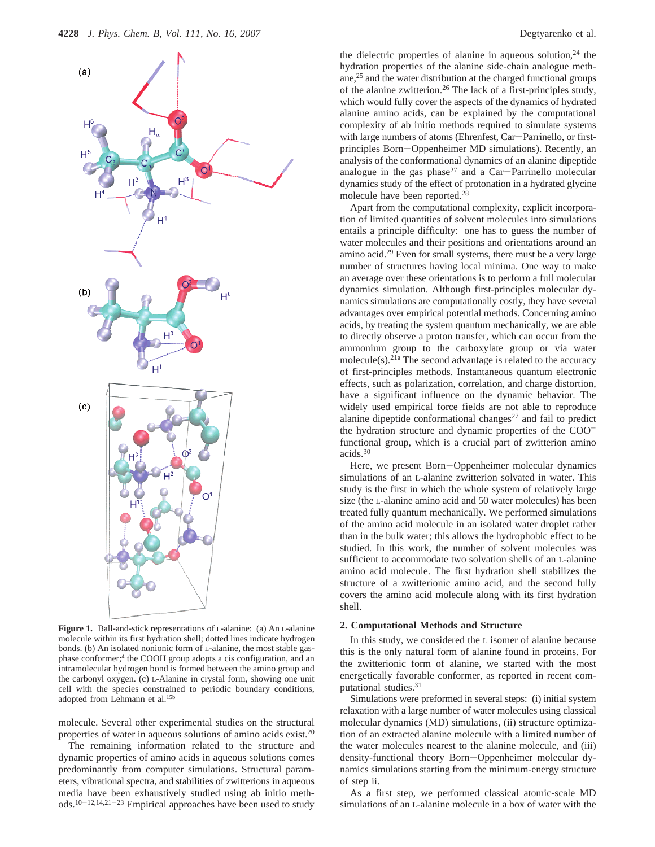

**Figure 1.** Ball-and-stick representations of L-alanine: (a) An L-alanine molecule within its first hydration shell; dotted lines indicate hydrogen bonds. (b) An isolated nonionic form of L-alanine, the most stable gasphase conformer;4 the COOH group adopts a cis configuration, and an intramolecular hydrogen bond is formed between the amino group and the carbonyl oxygen. (c) L-Alanine in crystal form, showing one unit cell with the species constrained to periodic boundary conditions, adopted from Lehmann et al.15b

molecule. Several other experimental studies on the structural properties of water in aqueous solutions of amino acids exist.20

The remaining information related to the structure and dynamic properties of amino acids in aqueous solutions comes predominantly from computer simulations. Structural parameters, vibrational spectra, and stabilities of zwitterions in aqueous media have been exhaustively studied using ab initio methods.10-12,14,21-<sup>23</sup> Empirical approaches have been used to study the dielectric properties of alanine in aqueous solution, $24$  the hydration properties of the alanine side-chain analogue methane,25 and the water distribution at the charged functional groups of the alanine zwitterion.26 The lack of a first-principles study, which would fully cover the aspects of the dynamics of hydrated alanine amino acids, can be explained by the computational complexity of ab initio methods required to simulate systems with large numbers of atoms (Ehrenfest, Car-Parrinello, or firstprinciples Born-Oppenheimer MD simulations). Recently, an analysis of the conformational dynamics of an alanine dipeptide analogue in the gas phase<sup>27</sup> and a Car-Parrinello molecular dynamics study of the effect of protonation in a hydrated glycine molecule have been reported.28

Apart from the computational complexity, explicit incorporation of limited quantities of solvent molecules into simulations entails a principle difficulty: one has to guess the number of water molecules and their positions and orientations around an amino acid.29 Even for small systems, there must be a very large number of structures having local minima. One way to make an average over these orientations is to perform a full molecular dynamics simulation. Although first-principles molecular dynamics simulations are computationally costly, they have several advantages over empirical potential methods. Concerning amino acids, by treating the system quantum mechanically, we are able to directly observe a proton transfer, which can occur from the ammonium group to the carboxylate group or via water molecule(s).<sup>21a</sup> The second advantage is related to the accuracy of first-principles methods. Instantaneous quantum electronic effects, such as polarization, correlation, and charge distortion, have a significant influence on the dynamic behavior. The widely used empirical force fields are not able to reproduce alanine dipeptide conformational changes $27$  and fail to predict the hydration structure and dynamic properties of the COOfunctional group, which is a crucial part of zwitterion amino acids.30

Here, we present Born-Oppenheimer molecular dynamics simulations of an L-alanine zwitterion solvated in water. This study is the first in which the whole system of relatively large size (the L-alanine amino acid and 50 water molecules) has been treated fully quantum mechanically. We performed simulations of the amino acid molecule in an isolated water droplet rather than in the bulk water; this allows the hydrophobic effect to be studied. In this work, the number of solvent molecules was sufficient to accommodate two solvation shells of an L-alanine amino acid molecule. The first hydration shell stabilizes the structure of a zwitterionic amino acid, and the second fully covers the amino acid molecule along with its first hydration shell.

## **2. Computational Methods and Structure**

In this study, we considered the L isomer of alanine because this is the only natural form of alanine found in proteins. For the zwitterionic form of alanine, we started with the most energetically favorable conformer, as reported in recent computational studies.<sup>31</sup>

Simulations were preformed in several steps: (i) initial system relaxation with a large number of water molecules using classical molecular dynamics (MD) simulations, (ii) structure optimization of an extracted alanine molecule with a limited number of the water molecules nearest to the alanine molecule, and (iii) density-functional theory Born-Oppenheimer molecular dynamics simulations starting from the minimum-energy structure of step ii.

As a first step, we performed classical atomic-scale MD simulations of an L-alanine molecule in a box of water with the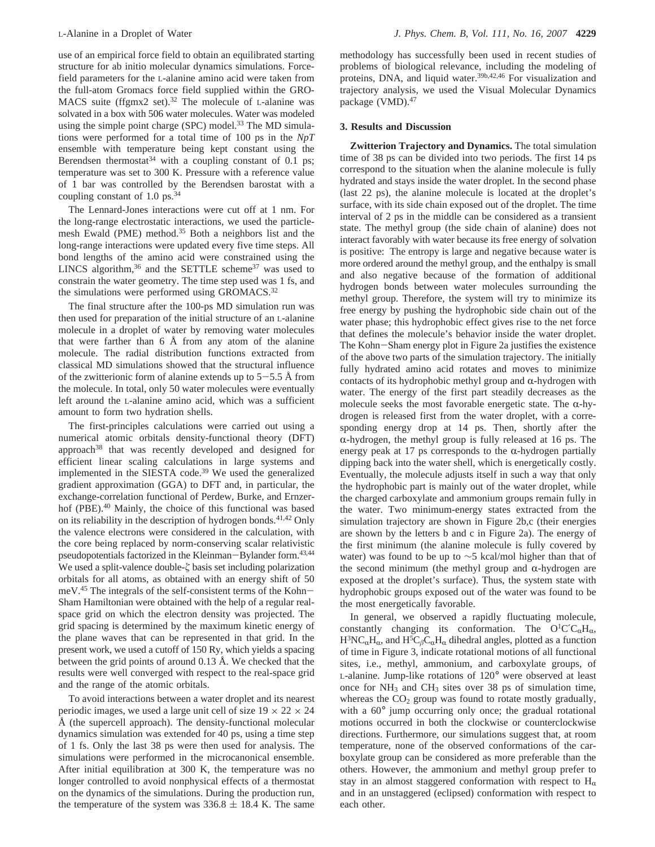use of an empirical force field to obtain an equilibrated starting structure for ab initio molecular dynamics simulations. Forcefield parameters for the L-alanine amino acid were taken from the full-atom Gromacs force field supplied within the GRO-MACS suite (ffgmx2 set).<sup>32</sup> The molecule of L-alanine was solvated in a box with 506 water molecules. Water was modeled using the simple point charge (SPC) model.<sup>33</sup> The MD simulations were performed for a total time of 100 ps in the *NpT* ensemble with temperature being kept constant using the Berendsen thermostat<sup>34</sup> with a coupling constant of 0.1 ps; temperature was set to 300 K. Pressure with a reference value of 1 bar was controlled by the Berendsen barostat with a coupling constant of 1.0 ps.<sup>34</sup>

The Lennard-Jones interactions were cut off at 1 nm. For the long-range electrostatic interactions, we used the particlemesh Ewald (PME) method.35 Both a neighbors list and the long-range interactions were updated every five time steps. All bond lengths of the amino acid were constrained using the LINCS algorithm,  $36$  and the SETTLE scheme  $37$  was used to constrain the water geometry. The time step used was 1 fs, and the simulations were performed using GROMACS.<sup>32</sup>

The final structure after the 100-ps MD simulation run was then used for preparation of the initial structure of an L-alanine molecule in a droplet of water by removing water molecules that were farther than 6 Å from any atom of the alanine molecule. The radial distribution functions extracted from classical MD simulations showed that the structural influence of the zwitterionic form of alanine extends up to  $5-5.5$  Å from the molecule. In total, only 50 water molecules were eventually left around the L-alanine amino acid, which was a sufficient amount to form two hydration shells.

The first-principles calculations were carried out using a numerical atomic orbitals density-functional theory (DFT) approach38 that was recently developed and designed for efficient linear scaling calculations in large systems and implemented in the SIESTA code.<sup>39</sup> We used the generalized gradient approximation (GGA) to DFT and, in particular, the exchange-correlation functional of Perdew, Burke, and Ernzerhof (PBE).<sup>40</sup> Mainly, the choice of this functional was based on its reliability in the description of hydrogen bonds. $41,42$  Only the valence electrons were considered in the calculation, with the core being replaced by norm-conserving scalar relativistic pseudopotentials factorized in the Kleinman-Bylander form.<sup>43,44</sup> We used a split-valence double-*ζ* basis set including polarization orbitals for all atoms, as obtained with an energy shift of 50 meV.45 The integrals of the self-consistent terms of the Kohn-Sham Hamiltonian were obtained with the help of a regular realspace grid on which the electron density was projected. The grid spacing is determined by the maximum kinetic energy of the plane waves that can be represented in that grid. In the present work, we used a cutoff of 150 Ry, which yields a spacing between the grid points of around 0.13 Å. We checked that the results were well converged with respect to the real-space grid and the range of the atomic orbitals.

To avoid interactions between a water droplet and its nearest periodic images, we used a large unit cell of size  $19 \times 22 \times 24$ Å (the supercell approach). The density-functional molecular dynamics simulation was extended for 40 ps, using a time step of 1 fs. Only the last 38 ps were then used for analysis. The simulations were performed in the microcanonical ensemble. After initial equilibration at 300 K, the temperature was no longer controlled to avoid nonphysical effects of a thermostat on the dynamics of the simulations. During the production run, the temperature of the system was  $336.8 \pm 18.4$  K. The same

methodology has successfully been used in recent studies of problems of biological relevance, including the modeling of proteins, DNA, and liquid water.39b,42,46 For visualization and trajectory analysis, we used the Visual Molecular Dynamics package (VMD).47

# **3. Results and Discussion**

**Zwitterion Trajectory and Dynamics.** The total simulation time of 38 ps can be divided into two periods. The first 14 ps correspond to the situation when the alanine molecule is fully hydrated and stays inside the water droplet. In the second phase (last 22 ps), the alanine molecule is located at the droplet's surface, with its side chain exposed out of the droplet. The time interval of 2 ps in the middle can be considered as a transient state. The methyl group (the side chain of alanine) does not interact favorably with water because its free energy of solvation is positive: The entropy is large and negative because water is more ordered around the methyl group, and the enthalpy is small and also negative because of the formation of additional hydrogen bonds between water molecules surrounding the methyl group. Therefore, the system will try to minimize its free energy by pushing the hydrophobic side chain out of the water phase; this hydrophobic effect gives rise to the net force that defines the molecule's behavior inside the water droplet. The Kohn-Sham energy plot in Figure 2a justifies the existence of the above two parts of the simulation trajectory. The initially fully hydrated amino acid rotates and moves to minimize contacts of its hydrophobic methyl group and  $\alpha$ -hydrogen with water. The energy of the first part steadily decreases as the molecule seeks the most favorable energetic state. The  $\alpha$ -hydrogen is released first from the water droplet, with a corresponding energy drop at 14 ps. Then, shortly after the  $\alpha$ -hydrogen, the methyl group is fully released at 16 ps. The energy peak at 17 ps corresponds to the  $\alpha$ -hydrogen partially dipping back into the water shell, which is energetically costly. Eventually, the molecule adjusts itself in such a way that only the hydrophobic part is mainly out of the water droplet, while the charged carboxylate and ammonium groups remain fully in the water. Two minimum-energy states extracted from the simulation trajectory are shown in Figure 2b,c (their energies are shown by the letters b and c in Figure 2a). The energy of the first minimum (the alanine molecule is fully covered by water) was found to be up to ∼5 kcal/mol higher than that of the second minimum (the methyl group and  $\alpha$ -hydrogen are exposed at the droplet's surface). Thus, the system state with hydrophobic groups exposed out of the water was found to be the most energetically favorable.

In general, we observed a rapidly fluctuating molecule, constantly changing its conformation. The  $O<sup>1</sup>C'C<sub>\alpha</sub>H<sub>\alpha</sub>$ ,  $H^{3}NC_{\alpha}H_{\alpha}$ , and  $H^{5}C_{\beta}C_{\alpha}H_{\alpha}$  dihedral angles, plotted as a function of time in Figure 3, indicate rotational motions of all functional sites, i.e., methyl, ammonium, and carboxylate groups, of L-alanine. Jump-like rotations of 120° were observed at least once for NH3 and CH3 sites over 38 ps of simulation time, whereas the  $CO<sub>2</sub>$  group was found to rotate mostly gradually, with a  $60^\circ$  jump occurring only once; the gradual rotational motions occurred in both the clockwise or counterclockwise directions. Furthermore, our simulations suggest that, at room temperature, none of the observed conformations of the carboxylate group can be considered as more preferable than the others. However, the ammonium and methyl group prefer to stay in an almost staggered conformation with respect to  $H_{\alpha}$ and in an unstaggered (eclipsed) conformation with respect to each other.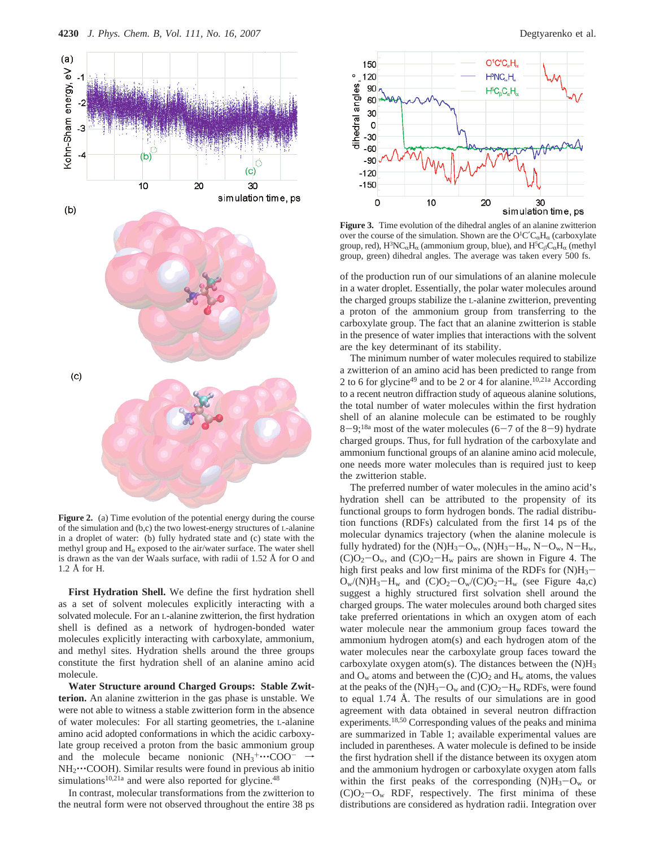

Figure 2. (a) Time evolution of the potential energy during the course of the simulation and (b,c) the two lowest-energy structures of L-alanine in a droplet of water: (b) fully hydrated state and (c) state with the methyl group and  $H_{\alpha}$  exposed to the air/water surface. The water shell is drawn as the van der Waals surface, with radii of 1.52 Å for O and 1.2 Å for H.

**First Hydration Shell.** We define the first hydration shell as a set of solvent molecules explicitly interacting with a solvated molecule. For an L-alanine zwitterion, the first hydration shell is defined as a network of hydrogen-bonded water molecules explicitly interacting with carboxylate, ammonium, and methyl sites. Hydration shells around the three groups constitute the first hydration shell of an alanine amino acid molecule.

**Water Structure around Charged Groups: Stable Zwitterion.** An alanine zwitterion in the gas phase is unstable. We were not able to witness a stable zwitterion form in the absence of water molecules: For all starting geometries, the L-alanine amino acid adopted conformations in which the acidic carboxylate group received a proton from the basic ammonium group and the molecule became nonionic  $(NH_3^+\cdots COO^- \rightarrow NH_2\cdots COOH)$  Similar results were found in previous ab inition NH<sub>2</sub>...COOH). Similar results were found in previous ab initio simulations<sup>10,21a</sup> and were also reported for glycine.<sup>48</sup>

In contrast, molecular transformations from the zwitterion to the neutral form were not observed throughout the entire 38 ps



**Figure 3.** Time evolution of the dihedral angles of an alanine zwitterion over the course of the simulation. Shown are the  $O<sup>1</sup>C'C<sub>α</sub>H<sub>α</sub>$  (carboxylate  $C<sup>1</sup>C$ group, red),  $H^3NC_{\alpha}H_{\alpha}$  (ammonium group, blue), and  $H^5C_{\beta}C_{\alpha}H_{\alpha}$  (methyl<br>group, group, dihedral angles. The sygnes was telep sygn: 500 fs. group, green) dihedral angles. The average was taken every 500 fs.

of the production run of our simulations of an alanine molecule in a water droplet. Essentially, the polar water molecules around the charged groups stabilize the L-alanine zwitterion, preventing a proton of the ammonium group from transferring to the carboxylate group. The fact that an alanine zwitterion is stable in the presence of water implies that interactions with the solvent are the key determinant of its stability.

The minimum number of water molecules required to stabilize a zwitterion of an amino acid has been predicted to range from 2 to 6 for glycine49 and to be 2 or 4 for alanine.10,21a According to a recent neutron diffraction study of aqueous alanine solutions, the total number of water molecules within the first hydration shell of an alanine molecule can be estimated to be roughly  $8-9;18a$  most of the water molecules (6-7 of the 8-9) hydrate charged groups. Thus, for full hydration of the carboxylate and ammonium functional groups of an alanine amino acid molecule, one needs more water molecules than is required just to keep the zwitterion stable.

The preferred number of water molecules in the amino acid's hydration shell can be attributed to the propensity of its functional groups to form hydrogen bonds. The radial distribution functions (RDFs) calculated from the first 14 ps of the molecular dynamics trajectory (when the alanine molecule is fully hydrated) for the  $(N)H_3-O_w$ ,  $(N)H_3-H_w$ ,  $N-O_w$ ,  $N-H_w$ ,  $(C)O<sub>2</sub>-O<sub>w</sub>$ , and  $(C)O<sub>2</sub>-H<sub>w</sub>$  pairs are shown in Figure 4. The high first peaks and low first minima of the RDFs for  $(N)H_3$ - $O_w/(N)H_3-H_w$  and  $(C)O_2-O_w/(C)O_2-H_w$  (see Figure 4a,c) suggest a highly structured first solvation shell around the charged groups. The water molecules around both charged sites take preferred orientations in which an oxygen atom of each water molecule near the ammonium group faces toward the ammonium hydrogen atom(s) and each hydrogen atom of the water molecules near the carboxylate group faces toward the carboxylate oxygen atom(s). The distances between the  $(N)H_3$ and  $O_w$  atoms and between the  $(C)O_2$  and  $H_w$  atoms, the values at the peaks of the  $(N)H_3-O_w$  and  $(C)O_2-H_w$  RDFs, were found to equal 1.74 Å. The results of our simulations are in good agreement with data obtained in several neutron diffraction experiments.18,50 Corresponding values of the peaks and minima are summarized in Table 1; available experimental values are included in parentheses. A water molecule is defined to be inside the first hydration shell if the distance between its oxygen atom and the ammonium hydrogen or carboxylate oxygen atom falls within the first peaks of the corresponding  $(N)H_3-O_w$  or  $(C)O<sub>2</sub>-O<sub>w</sub>$  RDF, respectively. The first minima of these distributions are considered as hydration radii. Integration over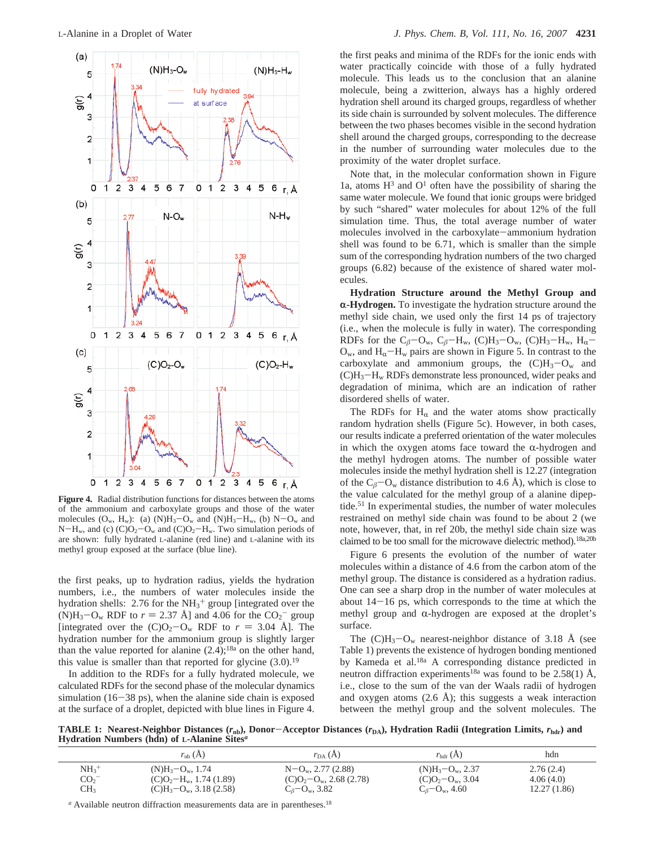

**Figure 4.** Radial distribution functions for distances between the atoms of the ammonium and carboxylate groups and those of the water molecules  $(O_w, H_w)$ : (a)  $(N)H_3-O_w$  and  $(N)H_3-H_w$ , (b)  $N-O_w$  and  $N-H_w$ , and (c)  $(C)O_2-O_w$  and  $(C)O_2-H_w$ . Two simulation periods of are shown: fully hydrated L-alanine (red line) and L-alanine with its methyl group exposed at the surface (blue line).

the first peaks, up to hydration radius, yields the hydration numbers, i.e., the numbers of water molecules inside the hydration shells: 2.76 for the  $NH<sub>3</sub><sup>+</sup>$  group [integrated over the (N)H<sub>3</sub>-O<sub>w</sub> RDF to  $r = 2.37$  Å] and 4.06 for the CO<sub>2</sub><sup>-</sup> group<br>lintegrated over the CO<sub>2</sub><sup>-</sup>O<sub>2</sub> RDF to  $r = 3.04$  Å1. The [integrated over the  $(C)O_2-O_w$  RDF to  $r = 3.04$  Å]. The hydration number for the ammonium group is slightly larger than the value reported for alanine  $(2.4)$ ;<sup>18a</sup> on the other hand, this value is smaller than that reported for glycine  $(3.0)$ .<sup>19</sup>

In addition to the RDFs for a fully hydrated molecule, we calculated RDFs for the second phase of the molecular dynamics simulation  $(16-38 \text{ ps})$ , when the alanine side chain is exposed at the surface of a droplet, depicted with blue lines in Figure 4.

the first peaks and minima of the RDFs for the ionic ends with water practically coincide with those of a fully hydrated molecule. This leads us to the conclusion that an alanine molecule, being a zwitterion, always has a highly ordered hydration shell around its charged groups, regardless of whether its side chain is surrounded by solvent molecules. The difference between the two phases becomes visible in the second hydration shell around the charged groups, corresponding to the decrease in the number of surrounding water molecules due to the proximity of the water droplet surface.

Note that, in the molecular conformation shown in Figure 1a, atoms  $H^3$  and  $O^1$  often have the possibility of sharing the same water molecule. We found that ionic groups were bridged by such "shared" water molecules for about 12% of the full simulation time. Thus, the total average number of water molecules involved in the carboxylate-ammonium hydration shell was found to be 6.71, which is smaller than the simple sum of the corresponding hydration numbers of the two charged groups (6.82) because of the existence of shared water molecules.

**Hydration Structure around the Methyl Group and** r**-Hydrogen.** To investigate the hydration structure around the methyl side chain, we used only the first 14 ps of trajectory (i.e., when the molecule is fully in water). The corresponding RDFs for the  $C_\beta$ -O<sub>w</sub>,  $C_\beta$ -H<sub>w</sub>, (C)H<sub>3</sub>-O<sub>w</sub>, (C)H<sub>3</sub>-H<sub>w</sub>, H<sub>α</sub>- $O_w$ , and  $H_\alpha-H_w$  pairs are shown in Figure 5. In contrast to the carboxylate and ammonium groups, the  $(C)H_3-O_w$  and (C)H3-Hw RDFs demonstrate less pronounced, wider peaks and degradation of minima, which are an indication of rather disordered shells of water.

The RDFs for  $H_{\alpha}$  and the water atoms show practically random hydration shells (Figure 5c). However, in both cases, our results indicate a preferred orientation of the water molecules in which the oxygen atoms face toward the  $\alpha$ -hydrogen and the methyl hydrogen atoms. The number of possible water molecules inside the methyl hydration shell is 12.27 (integration of the  $C_\beta$ -O<sub>w</sub> distance distribution to 4.6 Å), which is close to the value calculated for the methyl group of a alanine dipeptide.<sup>51</sup> In experimental studies, the number of water molecules restrained on methyl side chain was found to be about 2 (we note, however, that, in ref 20b, the methyl side chain size was claimed to be too small for the microwave dielectric method).<sup>18a,20b</sup>

Figure 6 presents the evolution of the number of water molecules within a distance of 4.6 from the carbon atom of the methyl group. The distance is considered as a hydration radius. One can see a sharp drop in the number of water molecules at about  $14-16$  ps, which corresponds to the time at which the methyl group and  $\alpha$ -hydrogen are exposed at the droplet's surface.

The  $(C)H_3-O_w$  nearest-neighbor distance of 3.18 Å (see Table 1) prevents the existence of hydrogen bonding mentioned by Kameda et al.18a A corresponding distance predicted in neutron diffraction experiments<sup>18a</sup> was found to be 2.58(1) Å, i.e., close to the sum of the van der Waals radii of hydrogen and oxygen atoms  $(2.6 \text{ Å})$ ; this suggests a weak interaction between the methyl group and the solvent molecules. The

**TABLE 1: Nearest-Neighbor Distances (***r***<sub>nb</sub>), Donor-Acceptor Distances (***r***<sub>DA</sub>), Hydration Radii (Integration Limits,** *r***<sub>hdr</sub>) and Hydration Numbers (hdn) of L-Alanine Sites***<sup>a</sup>*

|                     | $r_{\rm nb}$ (A)           | $r_{DA}(A)$                  | $r_{\text{hdr}}(A)$          | hdn         |
|---------------------|----------------------------|------------------------------|------------------------------|-------------|
| $NH_3$ <sup>+</sup> | $(N)H_3-O_w$ , 1.74        | $N-Ow$ , 2.77 (2.88)         | $(N)H_3-O_w$ , 2.37          | 2.76(2.4)   |
| CO <sub>2</sub>     | $(C)O_2-H_w$ , 1.74 (1.89) | $(C)O_2-O_w$ , 2.68 (2.78)   | $(C)O_2-O_w$ , 3.04          | 4.06(4.0)   |
| CH <sub>3</sub>     | $(C)H_3-O_w$ , 3.18 (2.58) | $C_{\beta}$ – $O_{w}$ , 3.82 | $C_{\beta}$ – $O_{w}$ , 4.60 | 12.27(1.86) |

<sup>*a*</sup> Available neutron diffraction measurements data are in parentheses.<sup>18</sup>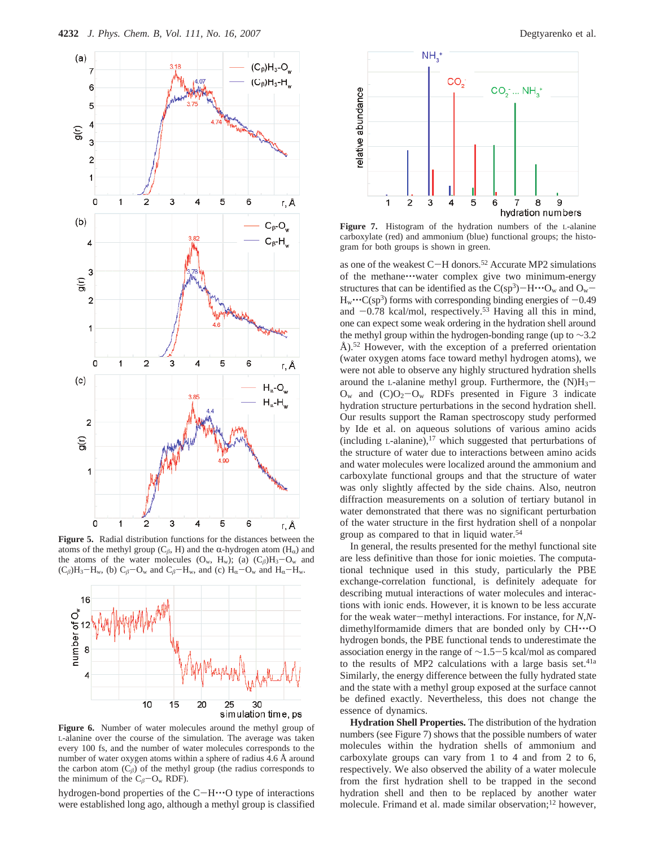

**Figure 5.** Radial distribution functions for the distances between the atoms of the methyl group ( $C_\beta$ , H) and the  $\alpha$ -hydrogen atom ( $H_\alpha$ ) and the atoms of the water molecules  $(O_w, H_w)$ ; (a)  $(C_\beta)H_3-O_w$  and  $(C_\beta)H_3-H_w$ , (b)  $C_\beta-C_w$  and  $C_\beta-H_w$ , and (c)  $H_\alpha-C_w$  and  $H_\alpha-H_w$ .



**Figure 6.** Number of water molecules around the methyl group of L-alanine over the course of the simulation. The average was taken every 100 fs, and the number of water molecules corresponds to the number of water oxygen atoms within a sphere of radius 4.6 Å around the carbon atom  $(C_\beta)$  of the methyl group (the radius corresponds to the minimum of the  $C_\beta - O_w$  RDF).

hydrogen-bond properties of the C-H $\cdot \cdot \cdot$ O type of interactions were established long ago, although a methyl group is classified



**Figure 7.** Histogram of the hydration numbers of the L-alanine carboxylate (red) and ammonium (blue) functional groups; the histogram for both groups is shown in green.

as one of the weakest C-H donors.52 Accurate MP2 simulations of the methane'''water complex give two minimum-energy structures that can be identified as the  $C(sp^3)$ -H $\cdots$ O<sub>w</sub> and O<sub>w</sub>- $H_w \cdot C(sp^3)$  forms with corresponding binding energies of  $-0.49$ and  $-0.78$  kcal/mol, respectively.<sup>53</sup> Having all this in mind, one can expect some weak ordering in the hydration shell around the methyl group within the hydrogen-bonding range (up to ∼3.2 Å).<sup>52</sup> However, with the exception of a preferred orientation (water oxygen atoms face toward methyl hydrogen atoms), we were not able to observe any highly structured hydration shells around the L-alanine methyl group. Furthermore, the  $(N)H_3$ - $O_w$  and  $(C)O_2-O_w$  RDFs presented in Figure 3 indicate hydration structure perturbations in the second hydration shell. Our results support the Raman spectroscopy study performed by Ide et al. on aqueous solutions of various amino acids (including  $L$ -alanine),<sup>17</sup> which suggested that perturbations of the structure of water due to interactions between amino acids and water molecules were localized around the ammonium and carboxylate functional groups and that the structure of water was only slightly affected by the side chains. Also, neutron diffraction measurements on a solution of tertiary butanol in water demonstrated that there was no significant perturbation of the water structure in the first hydration shell of a nonpolar group as compared to that in liquid water.54

In general, the results presented for the methyl functional site are less definitive than those for ionic moieties. The computational technique used in this study, particularly the PBE exchange-correlation functional, is definitely adequate for describing mutual interactions of water molecules and interactions with ionic ends. However, it is known to be less accurate for the weak water-methyl interactions. For instance, for *<sup>N</sup>*,*N*dimethylformamide dimers that are bonded only by CH'''<sup>O</sup> hydrogen bonds, the PBE functional tends to underestimate the association energy in the range of <sup>∼</sup>1.5-5 kcal/mol as compared to the results of MP2 calculations with a large basis set.<sup>41a</sup> Similarly, the energy difference between the fully hydrated state and the state with a methyl group exposed at the surface cannot be defined exactly. Nevertheless, this does not change the essence of dynamics.

**Hydration Shell Properties.** The distribution of the hydration numbers (see Figure 7) shows that the possible numbers of water molecules within the hydration shells of ammonium and carboxylate groups can vary from 1 to 4 and from 2 to 6, respectively. We also observed the ability of a water molecule from the first hydration shell to be trapped in the second hydration shell and then to be replaced by another water molecule. Frimand et al. made similar observation;<sup>12</sup> however,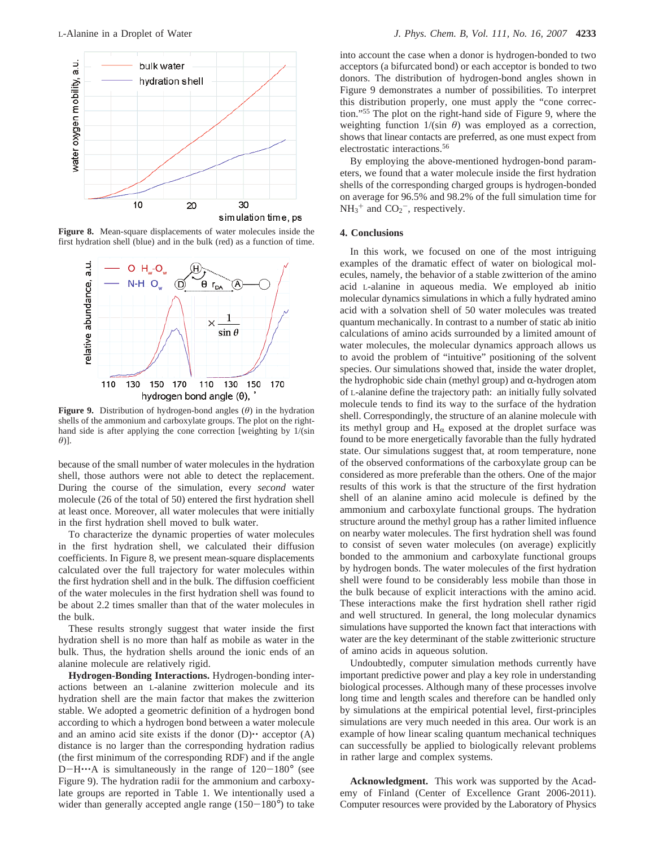

**Figure 8.** Mean-square displacements of water molecules inside the first hydration shell (blue) and in the bulk (red) as a function of time.



**Figure 9.** Distribution of hydrogen-bond angles (*θ*) in the hydration shells of the ammonium and carboxylate groups. The plot on the righthand side is after applying the cone correction [weighting by 1/(sin *θ*)].

because of the small number of water molecules in the hydration shell, those authors were not able to detect the replacement. During the course of the simulation, every *second* water molecule (26 of the total of 50) entered the first hydration shell at least once. Moreover, all water molecules that were initially in the first hydration shell moved to bulk water.

To characterize the dynamic properties of water molecules in the first hydration shell, we calculated their diffusion coefficients. In Figure 8, we present mean-square displacements calculated over the full trajectory for water molecules within the first hydration shell and in the bulk. The diffusion coefficient of the water molecules in the first hydration shell was found to be about 2.2 times smaller than that of the water molecules in the bulk.

These results strongly suggest that water inside the first hydration shell is no more than half as mobile as water in the bulk. Thus, the hydration shells around the ionic ends of an alanine molecule are relatively rigid.

**Hydrogen-Bonding Interactions.** Hydrogen-bonding interactions between an L-alanine zwitterion molecule and its hydration shell are the main factor that makes the zwitterion stable. We adopted a geometric definition of a hydrogen bond according to which a hydrogen bond between a water molecule and an amino acid site exists if the donor  $(D)$ <sup>\*\*</sup> acceptor  $(A)$ distance is no larger than the corresponding hydration radius (the first minimum of the corresponding RDF) and if the angle  $D-H\cdots A$  is simultaneously in the range of  $120-180^\circ$  (see Figure 9). The hydration radii for the ammonium and carboxylate groups are reported in Table 1. We intentionally used a wider than generally accepted angle range  $(150-180^{\circ})$  to take into account the case when a donor is hydrogen-bonded to two acceptors (a bifurcated bond) or each acceptor is bonded to two donors. The distribution of hydrogen-bond angles shown in Figure 9 demonstrates a number of possibilities. To interpret this distribution properly, one must apply the "cone correction."55 The plot on the right-hand side of Figure 9, where the weighting function  $1/(sin \theta)$  was employed as a correction, shows that linear contacts are preferred, as one must expect from electrostatic interactions.56

By employing the above-mentioned hydrogen-bond parameters, we found that a water molecule inside the first hydration shells of the corresponding charged groups is hydrogen-bonded on average for 96.5% and 98.2% of the full simulation time for  $NH_3^+$  and  $CO_2^-$ , respectively.

## **4. Conclusions**

In this work, we focused on one of the most intriguing examples of the dramatic effect of water on biological molecules, namely, the behavior of a stable zwitterion of the amino acid L-alanine in aqueous media. We employed ab initio molecular dynamics simulations in which a fully hydrated amino acid with a solvation shell of 50 water molecules was treated quantum mechanically. In contrast to a number of static ab initio calculations of amino acids surrounded by a limited amount of water molecules, the molecular dynamics approach allows us to avoid the problem of "intuitive" positioning of the solvent species. Our simulations showed that, inside the water droplet, the hydrophobic side chain (methyl group) and  $\alpha$ -hydrogen atom of L-alanine define the trajectory path: an initially fully solvated molecule tends to find its way to the surface of the hydration shell. Correspondingly, the structure of an alanine molecule with its methyl group and  $H_{\alpha}$  exposed at the droplet surface was found to be more energetically favorable than the fully hydrated state. Our simulations suggest that, at room temperature, none of the observed conformations of the carboxylate group can be considered as more preferable than the others. One of the major results of this work is that the structure of the first hydration shell of an alanine amino acid molecule is defined by the ammonium and carboxylate functional groups. The hydration structure around the methyl group has a rather limited influence on nearby water molecules. The first hydration shell was found to consist of seven water molecules (on average) explicitly bonded to the ammonium and carboxylate functional groups by hydrogen bonds. The water molecules of the first hydration shell were found to be considerably less mobile than those in the bulk because of explicit interactions with the amino acid. These interactions make the first hydration shell rather rigid and well structured. In general, the long molecular dynamics simulations have supported the known fact that interactions with water are the key determinant of the stable zwitterionic structure of amino acids in aqueous solution.

Undoubtedly, computer simulation methods currently have important predictive power and play a key role in understanding biological processes. Although many of these processes involve long time and length scales and therefore can be handled only by simulations at the empirical potential level, first-principles simulations are very much needed in this area. Our work is an example of how linear scaling quantum mechanical techniques can successfully be applied to biologically relevant problems in rather large and complex systems.

**Acknowledgment.** This work was supported by the Academy of Finland (Center of Excellence Grant 2006-2011). Computer resources were provided by the Laboratory of Physics